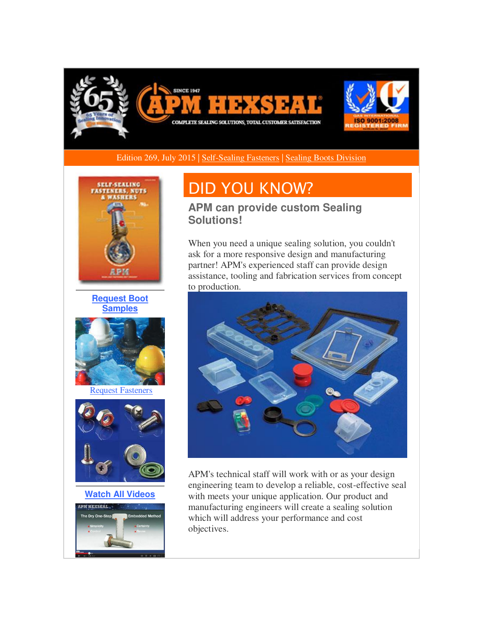

Edition 269, July 2015 | [Self-Sealing Fasteners](http://r20.rs6.net/tn.jsp?f=001ASHwXaZypXrIvP_cTktRRfaycJrbAIUypyp1qDnPwoHPJ66RuRoY1gC_SttcIxGgrHCCPoTyowKL_681XFDov1_How6SFSgnx13w-5x7slzZ3JWZP7EJVjQIhpbpDfWf5gRpaEwSY8obEAaLneZCESzwCwGch9cauh8MURVENQgGWiFrAIkNFK66ZZxLr7tplgoI0ngPZJ5xA4swFVOTEdl8uU2rTEv2deAc2H9T6TuOHvMTwq5qKs5jcihKVfdFY4F_xamIRrRd3pdQZ49BAwfy6RR3qyzGNmM9AP9G0RI_b4krQufmMqip2PSdZ0Vwsswwh5N4xrw=&c=KnifnB5RUo7RYCeOrG5tIrPW4F7hX1vyLOzuMPq9vDx83tlZlzCgBQ==&ch=Cho4GK811pXnjD9BcZQDCbZC-5za-r7EabHqs27OH6HHzjC56u6UNA==) | [Sealing Boots Division](http://r20.rs6.net/tn.jsp?f=001ASHwXaZypXrIvP_cTktRRfaycJrbAIUypyp1qDnPwoHPJ66RuRoY1gC_SttcIxGgVd8nK4dAdYPDMqWEUS61znafnqBvBYaXwZzpitc6eaRniDW3V4B_SQooElJj_yofp3yPyRoLpluPKFvrFJ4zKTKhW_BJ9FoLyFpfkTdyiGpd447F9SxKDK5OiZ1yCa5hzjdp-ZvJ6CtAkxS5a1lFCIovj3xnM56Nb9mQjhuCCgb15uJNTlZ9nGeq2zsBdT9nEVdOMzQ1Z-zcLs3tSYwnYLtzxz3M2S5ha18gCicX4yaZQsFnvMRXt1y0aXDwvqKf&c=KnifnB5RUo7RYCeOrG5tIrPW4F7hX1vyLOzuMPq9vDx83tlZlzCgBQ==&ch=Cho4GK811pXnjD9BcZQDCbZC-5za-r7EabHqs27OH6HHzjC56u6UNA==) 



**[Request Boot](http://r20.rs6.net/tn.jsp?f=001ASHwXaZypXrIvP_cTktRRfaycJrbAIUypyp1qDnPwoHPJ66RuRoY1gC_SttcIxGglcCwi0-JltE7Mwj4rSEbkZzRYc03adBFtmxQirtiF5IiOSZv7dFlyqjqlz1Aj6x-uhMirAciduaJ4kuFGgMOLMP6AjWLzEg1Bx5P5gJoVqKEzcNrZXxpeXwv4O5rPmRKCavYRZuAT17w6sXhZTz2g3bKJFguAI1MdqOIx_qQOMmmcMsJ9bKav_jZY2CvY4V5MmXmi0RM9wx6JUs_UAqw2gFZVNiXIT2xVETEjKsEAGZKxIz6F5TduXaQfNsJS_fH_WJ6fFvOOaPGlIZazKl0-g==&c=KnifnB5RUo7RYCeOrG5tIrPW4F7hX1vyLOzuMPq9vDx83tlZlzCgBQ==&ch=Cho4GK811pXnjD9BcZQDCbZC-5za-r7EabHqs27OH6HHzjC56u6UNA==)  [Samples](http://r20.rs6.net/tn.jsp?f=001ASHwXaZypXrIvP_cTktRRfaycJrbAIUypyp1qDnPwoHPJ66RuRoY1gC_SttcIxGglcCwi0-JltE7Mwj4rSEbkZzRYc03adBFtmxQirtiF5IiOSZv7dFlyqjqlz1Aj6x-uhMirAciduaJ4kuFGgMOLMP6AjWLzEg1Bx5P5gJoVqKEzcNrZXxpeXwv4O5rPmRKCavYRZuAT17w6sXhZTz2g3bKJFguAI1MdqOIx_qQOMmmcMsJ9bKav_jZY2CvY4V5MmXmi0RM9wx6JUs_UAqw2gFZVNiXIT2xVETEjKsEAGZKxIz6F5TduXaQfNsJS_fH_WJ6fFvOOaPGlIZazKl0-g==&c=KnifnB5RUo7RYCeOrG5tIrPW4F7hX1vyLOzuMPq9vDx83tlZlzCgBQ==&ch=Cho4GK811pXnjD9BcZQDCbZC-5za-r7EabHqs27OH6HHzjC56u6UNA==)**



[Request Fasteners](http://r20.rs6.net/tn.jsp?f=001ASHwXaZypXrIvP_cTktRRfaycJrbAIUypyp1qDnPwoHPJ66RuRoY1gC_SttcIxGgiWqf41k2goQNCnl7BBwwfxIM7tIOJIlKPiLOoR9QOz6Ecqwrf2yLhYZDgMpALI4y-J1nMqyuWJ5wjr-XU-flj4TswyR_Xvd34MlIw591dv2TDgs_i4BSto_zoUe4R7z6uQv06DmhABti8Y0h2NkZ0IaXQXEr9g0tgXQjHH5KmmAojtvA6roqXhr1WgzNAr3TpuqZKl4O-PTssoTquc1p1F7X8uj7c__KhcrxdCJ_UFwC_s0fzac54_XodNcnRgjvzqwBUN4bu8g=&c=KnifnB5RUo7RYCeOrG5tIrPW4F7hX1vyLOzuMPq9vDx83tlZlzCgBQ==&ch=Cho4GK811pXnjD9BcZQDCbZC-5za-r7EabHqs27OH6HHzjC56u6UNA==)



**[Watch All Videos](http://r20.rs6.net/tn.jsp?f=001ASHwXaZypXrIvP_cTktRRfaycJrbAIUypyp1qDnPwoHPJ66RuRoY1gC_SttcIxGgLvepxUrdT50Xyel7YB-xiMTJKmdL52xzCNU__1ZhcPF73d-E-67-tsPxI8MxFp6GlB6UNpkv4JOFZ2GxXhe9tB2addyXiFHzPqjuZthS_NLOZoT6QozgBz13d5f8JqypyxEpYsDDmsWveH1ep_qKpFgHu07i0ePvE0EnXGqm7c2m9YokRUYUd5CGzgURzREue6zvthH-9D8wn9AKaWjWAgi4EyO3IqqlYUWSq3REqPfNYB8LU2ZaOg==&c=KnifnB5RUo7RYCeOrG5tIrPW4F7hX1vyLOzuMPq9vDx83tlZlzCgBQ==&ch=Cho4GK811pXnjD9BcZQDCbZC-5za-r7EabHqs27OH6HHzjC56u6UNA==)**



# DID YOU KNOW?

**APM can provide custom Sealing Solutions!**

When you need a unique sealing solution, you couldn't ask for a more responsive design and manufacturing partner! APM's experienced staff can provide design assistance, tooling and fabrication services from concept to production.



APM's technical staff will work with or as your design engineering team to develop a reliable, cost-effective seal with meets your unique application. Our product and manufacturing engineers will create a sealing solution which will address your performance and cost objectives.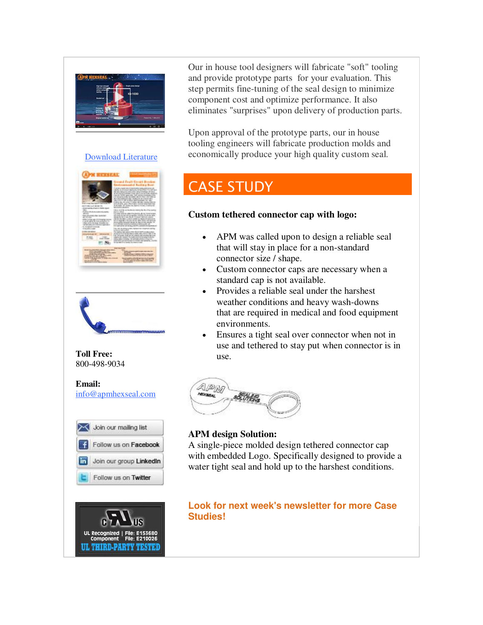

### [Download Literature](http://r20.rs6.net/tn.jsp?f=001ASHwXaZypXrIvP_cTktRRfaycJrbAIUypyp1qDnPwoHPJ66RuRoY1gC_SttcIxGgc6cIKFNBWfe5gBlbq-CSMi3sMl14vx-aSxIQ0bCPSRabiuP1daf7UnEdzNx3K_wzw7vZAzRo3ITAavTeyUspsF47qGcJFPpFMixIDj2zvQzPkElW6ygdaNXBB-edXsqKkFortx7RcpzVP6Lj4y5aO57TSm42jRsEstkVmx__2kBL63EeO-_IqFqdDpmrYv2ofKgoojzLZvYW9sRAu7xNGAEmHRUO36-yA_cEP0daZXMM41kmTnVq-w==&c=KnifnB5RUo7RYCeOrG5tIrPW4F7hX1vyLOzuMPq9vDx83tlZlzCgBQ==&ch=Cho4GK811pXnjD9BcZQDCbZC-5za-r7EabHqs27OH6HHzjC56u6UNA==)







#### **Email:** [info@apmhexseal.com](mailto:info@apmhexseal.com)





Our in house tool designers will fabricate "soft" tooling and provide prototype parts for your evaluation. This step permits fine-tuning of the seal design to minimize component cost and optimize performance. It also eliminates "surprises" upon delivery of production parts.

Upon approval of the prototype parts, our in house tooling engineers will fabricate production molds and economically produce your high quality custom seal.

## CASE STUDY

### **Custom tethered connector cap with logo:**

- APM was called upon to design a reliable seal that will stay in place for a non-standard connector size / shape.
- Custom connector caps are necessary when a standard cap is not available.
- Provides a reliable seal under the harshest weather conditions and heavy wash-downs that are required in medical and food equipment environments.
- Ensures a tight seal over connector when not in use and tethered to stay put when connector is in use.



### **APM design Solution:**

A single-piece molded design tethered connector cap with embedded Logo. Specifically designed to provide a water tight seal and hold up to the harshest conditions.

**Look for next week's newsletter for more Case Studies!**